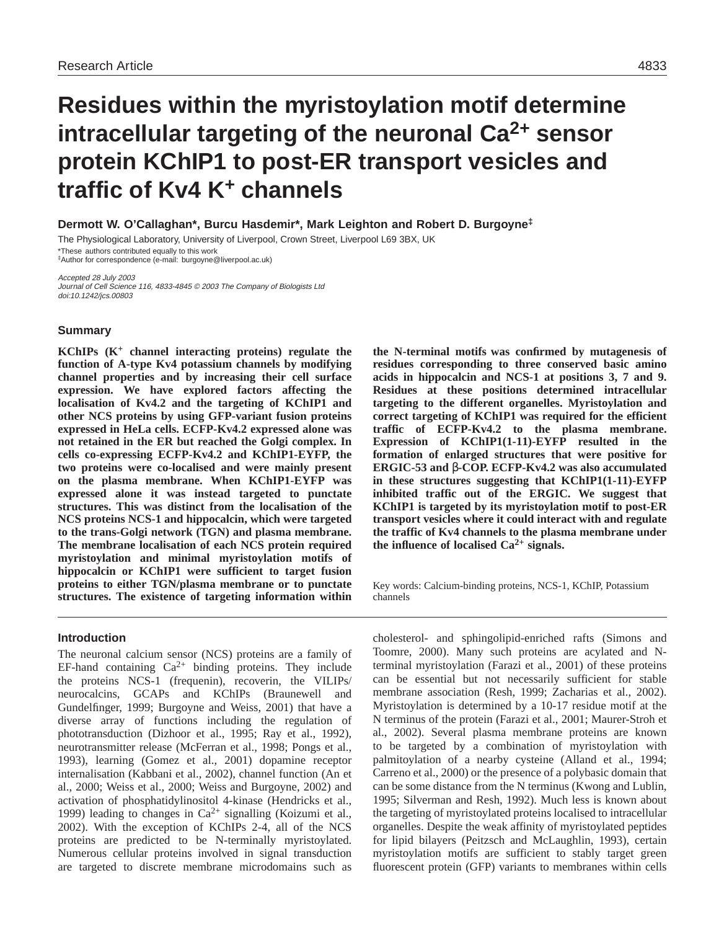# **Residues within the myristoylation motif determine intracellular targeting of the neuronal Ca2+ sensor protein KChIP1 to post-ER transport vesicles and traffic of Kv4 K+ channels**

**Dermott W. O'Callaghan\*, Burcu Hasdemir\*, Mark Leighton and Robert D. Burgoyne‡**

The Physiological Laboratory, University of Liverpool, Crown Street, Liverpool L69 3BX, UK

\*These authors contributed equally to this work ‡Author for correspondence (e-mail: burgoyne@liverpool.ac.uk)

Accepted 28 July 2003 Journal of Cell Science 116, 4833-4845 © 2003 The Company of Biologists Ltd doi:10.1242/jcs.00803

# **Summary**

**KChIPs (K+ channel interacting proteins) regulate the function of A-type Kv4 potassium channels by modifying channel properties and by increasing their cell surface expression. We have explored factors affecting the localisation of Kv4.2 and the targeting of KChIP1 and other NCS proteins by using GFP-variant fusion proteins expressed in HeLa cells. ECFP-Kv4.2 expressed alone was not retained in the ER but reached the Golgi complex. In cells co-expressing ECFP-Kv4.2 and KChIP1-EYFP, the two proteins were co-localised and were mainly present on the plasma membrane. When KChIP1-EYFP was expressed alone it was instead targeted to punctate structures. This was distinct from the localisation of the NCS proteins NCS-1 and hippocalcin, which were targeted to the trans-Golgi network (TGN) and plasma membrane. The membrane localisation of each NCS protein required myristoylation and minimal myristoylation motifs of hippocalcin or KChIP1 were sufficient to target fusion proteins to either TGN/plasma membrane or to punctate structures. The existence of targeting information within**

# **Introduction**

The neuronal calcium sensor (NCS) proteins are a family of EF-hand containing  $Ca^{2+}$  binding proteins. They include the proteins NCS-1 (frequenin), recoverin, the VILIPs/ neurocalcins, GCAPs and KChIPs (Braunewell and Gundelfinger, 1999; Burgoyne and Weiss, 2001) that have a diverse array of functions including the regulation of phototransduction (Dizhoor et al., 1995; Ray et al., 1992), neurotransmitter release (McFerran et al., 1998; Pongs et al., 1993), learning (Gomez et al., 2001) dopamine receptor internalisation (Kabbani et al., 2002), channel function (An et al., 2000; Weiss et al., 2000; Weiss and Burgoyne, 2002) and activation of phosphatidylinositol 4-kinase (Hendricks et al., 1999) leading to changes in  $Ca^{2+}$  signalling (Koizumi et al., 2002). With the exception of KChIPs 2-4, all of the NCS proteins are predicted to be N-terminally myristoylated. Numerous cellular proteins involved in signal transduction are targeted to discrete membrane microdomains such as

**the N-terminal motifs was confirmed by mutagenesis of residues corresponding to three conserved basic amino acids in hippocalcin and NCS-1 at positions 3, 7 and 9. Residues at these positions determined intracellular targeting to the different organelles. Myristoylation and correct targeting of KChIP1 was required for the efficient traffic of ECFP-Kv4.2 to the plasma membrane. Expression of KChIP1(1-11)-EYFP resulted in the formation of enlarged structures that were positive for ERGIC-53 and** β**-COP. ECFP-Kv4.2 was also accumulated in these structures suggesting that KChIP1(1-11)-EYFP inhibited traffic out of the ERGIC. We suggest that KChIP1 is targeted by its myristoylation motif to post-ER transport vesicles where it could interact with and regulate the traffic of Kv4 channels to the plasma membrane under** the influence of localised  $Ca^{2+}$  signals.

Key words: Calcium-binding proteins, NCS-1, KChIP, Potassium channels

cholesterol- and sphingolipid-enriched rafts (Simons and Toomre, 2000). Many such proteins are acylated and Nterminal myristoylation (Farazi et al., 2001) of these proteins can be essential but not necessarily sufficient for stable membrane association (Resh, 1999; Zacharias et al., 2002). Myristoylation is determined by a 10-17 residue motif at the N terminus of the protein (Farazi et al., 2001; Maurer-Stroh et al., 2002). Several plasma membrane proteins are known to be targeted by a combination of myristoylation with palmitoylation of a nearby cysteine (Alland et al., 1994; Carreno et al., 2000) or the presence of a polybasic domain that can be some distance from the N terminus (Kwong and Lublin, 1995; Silverman and Resh, 1992). Much less is known about the targeting of myristoylated proteins localised to intracellular organelles. Despite the weak affinity of myristoylated peptides for lipid bilayers (Peitzsch and McLaughlin, 1993), certain myristoylation motifs are sufficient to stably target green fluorescent protein (GFP) variants to membranes within cells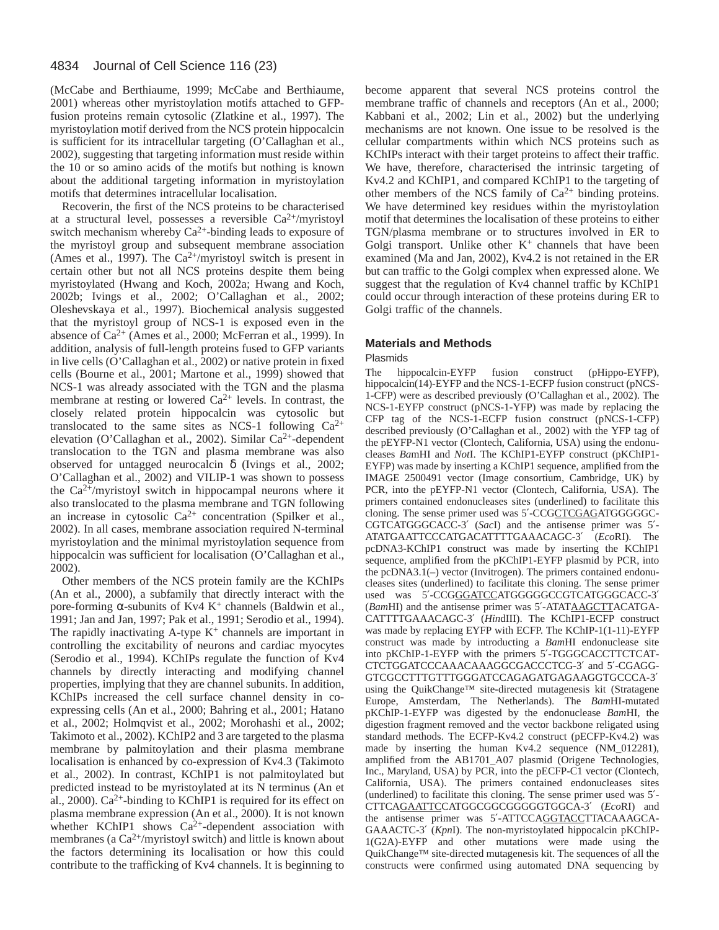(McCabe and Berthiaume, 1999; McCabe and Berthiaume, 2001) whereas other myristoylation motifs attached to GFPfusion proteins remain cytosolic (Zlatkine et al., 1997). The myristoylation motif derived from the NCS protein hippocalcin is sufficient for its intracellular targeting (O'Callaghan et al., 2002), suggesting that targeting information must reside within the 10 or so amino acids of the motifs but nothing is known about the additional targeting information in myristoylation motifs that determines intracellular localisation.

Recoverin, the first of the NCS proteins to be characterised at a structural level, possesses a reversible  $Ca^{2+}/$ myristoyl switch mechanism whereby  $Ca^{2+}$ -binding leads to exposure of the myristoyl group and subsequent membrane association (Ames et al., 1997). The  $Ca^{2+}/$ myristoyl switch is present in certain other but not all NCS proteins despite them being myristoylated (Hwang and Koch, 2002a; Hwang and Koch, 2002b; Ivings et al., 2002; O'Callaghan et al., 2002; Oleshevskaya et al., 1997). Biochemical analysis suggested that the myristoyl group of NCS-1 is exposed even in the absence of Ca2+ (Ames et al., 2000; McFerran et al., 1999). In addition, analysis of full-length proteins fused to GFP variants in live cells (O'Callaghan et al., 2002) or native protein in fixed cells (Bourne et al., 2001; Martone et al., 1999) showed that NCS-1 was already associated with the TGN and the plasma membrane at resting or lowered  $Ca^{2+}$  levels. In contrast, the closely related protein hippocalcin was cytosolic but translocated to the same sites as NCS-1 following  $Ca^{2+}$ elevation (O'Callaghan et al., 2002). Similar Ca2+-dependent translocation to the TGN and plasma membrane was also observed for untagged neurocalcin δ (Ivings et al., 2002; O'Callaghan et al., 2002) and VILIP-1 was shown to possess the  $Ca^{2+}/$ myristoyl switch in hippocampal neurons where it also translocated to the plasma membrane and TGN following an increase in cytosolic  $Ca^{2+}$  concentration (Spilker et al., 2002). In all cases, membrane association required N-terminal myristoylation and the minimal myristoylation sequence from hippocalcin was sufficient for localisation (O'Callaghan et al., 2002).

Other members of the NCS protein family are the KChIPs (An et al., 2000), a subfamily that directly interact with the pore-forming α-subunits of Kv4 K<sup>+</sup> channels (Baldwin et al., 1991; Jan and Jan, 1997; Pak et al., 1991; Serodio et al., 1994). The rapidly inactivating A-type  $K^+$  channels are important in controlling the excitability of neurons and cardiac myocytes (Serodio et al., 1994). KChIPs regulate the function of Kv4 channels by directly interacting and modifying channel properties, implying that they are channel subunits. In addition, KChIPs increased the cell surface channel density in coexpressing cells (An et al., 2000; Bahring et al., 2001; Hatano et al., 2002; Holmqvist et al., 2002; Morohashi et al., 2002; Takimoto et al., 2002). KChIP2 and 3 are targeted to the plasma membrane by palmitoylation and their plasma membrane localisation is enhanced by co-expression of Kv4.3 (Takimoto et al., 2002). In contrast, KChIP1 is not palmitoylated but predicted instead to be myristoylated at its N terminus (An et al., 2000).  $Ca^{2+}$ -binding to KChIP1 is required for its effect on plasma membrane expression (An et al., 2000). It is not known whether KChIP1 shows  $Ca^{2+}$ -dependent association with membranes (a  $Ca^{2+}/m$ yristoyl switch) and little is known about the factors determining its localisation or how this could contribute to the trafficking of Kv4 channels. It is beginning to

become apparent that several NCS proteins control the membrane traffic of channels and receptors (An et al., 2000; Kabbani et al., 2002; Lin et al., 2002) but the underlying mechanisms are not known. One issue to be resolved is the cellular compartments within which NCS proteins such as KChIPs interact with their target proteins to affect their traffic. We have, therefore, characterised the intrinsic targeting of Kv4.2 and KChIP1, and compared KChIP1 to the targeting of other members of the NCS family of  $Ca^{2+}$  binding proteins. We have determined key residues within the myristoylation motif that determines the localisation of these proteins to either TGN/plasma membrane or to structures involved in ER to Golgi transport. Unlike other  $K^+$  channels that have been examined (Ma and Jan, 2002), Kv4.2 is not retained in the ER but can traffic to the Golgi complex when expressed alone. We suggest that the regulation of Kv4 channel traffic by KChIP1 could occur through interaction of these proteins during ER to Golgi traffic of the channels.

### **Materials and Methods**

### Plasmids

The hippocalcin-EYFP fusion construct (pHippo-EYFP), hippocalcin(14)-EYFP and the NCS-1-ECFP fusion construct (pNCS-1-CFP) were as described previously (O'Callaghan et al., 2002). The NCS-1-EYFP construct (pNCS-1-YFP) was made by replacing the CFP tag of the NCS-1-ECFP fusion construct (pNCS-1-CFP) described previously (O'Callaghan et al., 2002) with the YFP tag of the pEYFP-N1 vector (Clontech, California, USA) using the endonucleases *Ba*mHI and *Not*I. The KChIP1-EYFP construct (pKChIP1- EYFP) was made by inserting a KChIP1 sequence, amplified from the IMAGE 2500491 vector (Image consortium, Cambridge, UK) by PCR, into the pEYFP-N1 vector (Clontech, California, USA). The primers contained endonucleases sites (underlined) to facilitate this cloning. The sense primer used was 5′-CCGCTCGAGATGGGGGC-CGTCATGGGCACC-3′ (*Sac*I) and the antisense primer was 5′- ATATGAATTCCCATGACATTTTGAAACAGC-3′ (*Eco*RI). The pcDNA3-KChIP1 construct was made by inserting the KChIP1 sequence, amplified from the pKChIP1-EYFP plasmid by PCR, into the pcDNA3.1(–) vector (Invitrogen). The primers contained endonucleases sites (underlined) to facilitate this cloning. The sense primer used was 5′-CCGGGATCCATGGGGGCCGTCATGGGCACC-3′ (*Bam*HI) and the antisense primer was 5′-ATATAAGCTTACATGA-CATTTTGAAACAGC-3′ (*Hin*dIII). The KChIP1-ECFP construct was made by replacing EYFP with ECFP. The KChIP-1(1-11)-EYFP construct was made by introducting a *Bam*HI endonuclease site into pKChIP-1-EYFP with the primers 5′-TGGGCACCTTCTCAT-CTCTGGATCCCAAACAAAGGCGACCCTCG-3′ and 5′-CGAGG-GTCGCCTTTGTTTGGGATCCAGAGATGAGAAGGTGCCCA-3′ using the QuikChange™ site-directed mutagenesis kit (Stratagene Europe, Amsterdam, The Netherlands). The *Bam*HI-mutated pKChIP-1-EYFP was digested by the endonuclease *Bam*HI, the digestion fragment removed and the vector backbone religated using standard methods. The ECFP-Kv4.2 construct (pECFP-Kv4.2) was made by inserting the human Kv4.2 sequence (NM\_012281), amplified from the AB1701\_A07 plasmid (Origene Technologies, Inc., Maryland, USA) by PCR, into the pECFP-C1 vector (Clontech, California, USA). The primers contained endonucleases sites (underlined) to facilitate this cloning. The sense primer used was 5′- CTTCAGAATTCCATGGCGGCGGGGGTGGCA-3′ (*Eco*RI) and the antisense primer was 5′-ATTCCAGGTACCTTACAAAGCA-GAAACTC-3′ (*Kpn*I). The non-myristoylated hippocalcin pKChIP-1(G2A)-EYFP and other mutations were made using the QuikChange™ site-directed mutagenesis kit. The sequences of all the constructs were confirmed using automated DNA sequencing by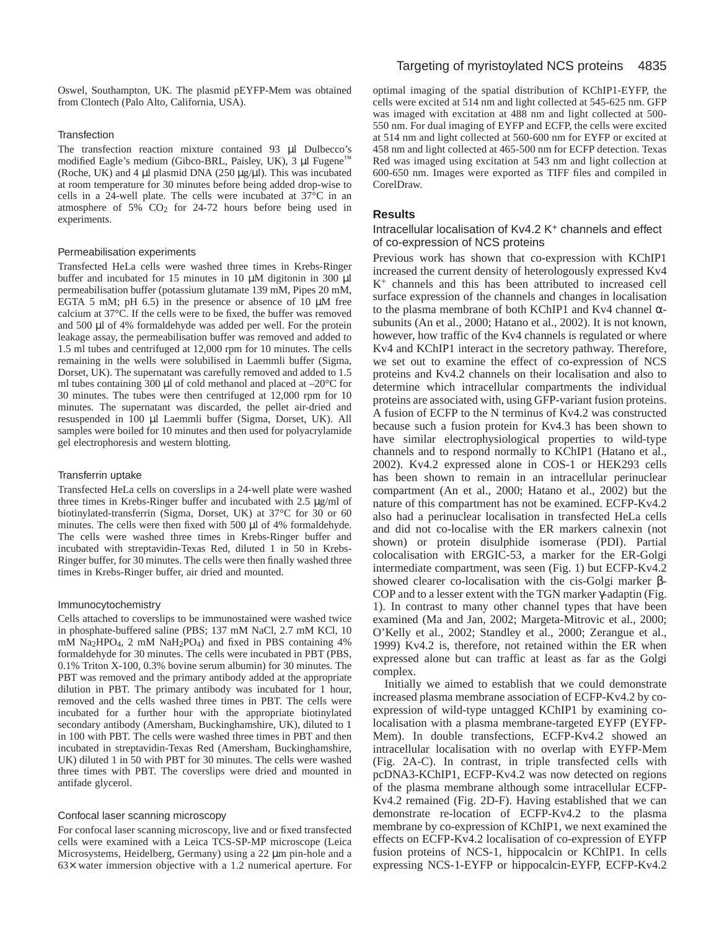Oswel, Southampton, UK. The plasmid pEYFP-Mem was obtained from Clontech (Palo Alto, California, USA).

# **Transfection**

The transfection reaction mixture contained 93 µl Dulbecco's modified Eagle's medium (Gibco-BRL, Paisley, UK), 3  $\mu$ l Fugene<sup>™</sup> (Roche, UK) and 4  $\mu$ l plasmid DNA (250  $\mu$ g/ $\mu$ l). This was incubated at room temperature for 30 minutes before being added drop-wise to cells in a 24-well plate. The cells were incubated at 37°C in an atmosphere of 5% CO2 for 24-72 hours before being used in experiments.

### Permeabilisation experiments

Transfected HeLa cells were washed three times in Krebs-Ringer buffer and incubated for 15 minutes in 10  $\mu$ M digitonin in 300  $\mu$ l permeabilisation buffer (potassium glutamate 139 mM, Pipes 20 mM, EGTA 5 mM; pH 6.5) in the presence or absence of 10 µM free calcium at 37°C. If the cells were to be fixed, the buffer was removed and 500 µl of 4% formaldehyde was added per well. For the protein leakage assay, the permeabilisation buffer was removed and added to 1.5 ml tubes and centrifuged at 12,000 rpm for 10 minutes. The cells remaining in the wells were solubilised in Laemmli buffer (Sigma, Dorset, UK). The supernatant was carefully removed and added to 1.5 ml tubes containing 300  $\mu$ l of cold methanol and placed at  $-20^{\circ}$ C for 30 minutes. The tubes were then centrifuged at 12,000 rpm for 10 minutes. The supernatant was discarded, the pellet air-dried and resuspended in 100 µl Laemmli buffer (Sigma, Dorset, UK). All samples were boiled for 10 minutes and then used for polyacrylamide gel electrophoresis and western blotting.

### Transferrin uptake

Transfected HeLa cells on coverslips in a 24-well plate were washed three times in Krebs-Ringer buffer and incubated with 2.5 µg/ml of biotinylated-transferrin (Sigma, Dorset, UK) at 37°C for 30 or 60 minutes. The cells were then fixed with 500  $\mu$ l of 4% formaldehyde. The cells were washed three times in Krebs-Ringer buffer and incubated with streptavidin-Texas Red, diluted 1 in 50 in Krebs-Ringer buffer, for 30 minutes. The cells were then finally washed three times in Krebs-Ringer buffer, air dried and mounted.

### Immunocytochemistry

Cells attached to coverslips to be immunostained were washed twice in phosphate-buffered saline (PBS; 137 mM NaCl, 2.7 mM KCl, 10 mM Na2HPO4, 2 mM NaH2PO4) and fixed in PBS containing 4% formaldehyde for 30 minutes. The cells were incubated in PBT (PBS, 0.1% Triton X-100, 0.3% bovine serum albumin) for 30 minutes. The PBT was removed and the primary antibody added at the appropriate dilution in PBT. The primary antibody was incubated for 1 hour, removed and the cells washed three times in PBT. The cells were incubated for a further hour with the appropriate biotinylated secondary antibody (Amersham, Buckinghamshire, UK), diluted to 1 in 100 with PBT. The cells were washed three times in PBT and then incubated in streptavidin-Texas Red (Amersham, Buckinghamshire, UK) diluted 1 in 50 with PBT for 30 minutes. The cells were washed three times with PBT. The coverslips were dried and mounted in antifade glycerol.

### Confocal laser scanning microscopy

For confocal laser scanning microscopy, live and or fixed transfected cells were examined with a Leica TCS-SP-MP microscope (Leica Microsystems, Heidelberg, Germany) using a 22  $\mu$ m pin-hole and a 63× water immersion objective with a 1.2 numerical aperture. For optimal imaging of the spatial distribution of KChIP1-EYFP, the cells were excited at 514 nm and light collected at 545-625 nm. GFP was imaged with excitation at 488 nm and light collected at 500- 550 nm. For dual imaging of EYFP and ECFP, the cells were excited at 514 nm and light collected at 560-600 nm for EYFP or excited at 458 nm and light collected at 465-500 nm for ECFP detection. Texas Red was imaged using excitation at 543 nm and light collection at 600-650 nm. Images were exported as TIFF files and compiled in CorelDraw.

### **Results**

Intracellular localisation of Kv4.2 K+ channels and effect of co-expression of NCS proteins

Previous work has shown that co-expression with KChIP1 increased the current density of heterologously expressed Kv4 K+ channels and this has been attributed to increased cell surface expression of the channels and changes in localisation to the plasma membrane of both KChIP1 and Kv4 channel αsubunits (An et al., 2000; Hatano et al., 2002). It is not known, however, how traffic of the Kv4 channels is regulated or where Kv4 and KChIP1 interact in the secretory pathway. Therefore, we set out to examine the effect of co-expression of NCS proteins and Kv4.2 channels on their localisation and also to determine which intracellular compartments the individual proteins are associated with, using GFP-variant fusion proteins. A fusion of ECFP to the N terminus of Kv4.2 was constructed because such a fusion protein for Kv4.3 has been shown to have similar electrophysiological properties to wild-type channels and to respond normally to KChIP1 (Hatano et al., 2002). Kv4.2 expressed alone in COS-1 or HEK293 cells has been shown to remain in an intracellular perinuclear compartment (An et al., 2000; Hatano et al., 2002) but the nature of this compartment has not be examined. ECFP-Kv4.2 also had a perinuclear localisation in transfected HeLa cells and did not co-localise with the ER markers calnexin (not shown) or protein disulphide isomerase (PDI). Partial colocalisation with ERGIC-53, a marker for the ER-Golgi intermediate compartment, was seen (Fig. 1) but ECFP-Kv4.2 showed clearer co-localisation with the cis-Golgi marker β-COP and to a lesser extent with the TGN marker γ-adaptin (Fig. 1). In contrast to many other channel types that have been examined (Ma and Jan, 2002; Margeta-Mitrovic et al., 2000; O'Kelly et al., 2002; Standley et al., 2000; Zerangue et al., 1999) Kv4.2 is, therefore, not retained within the ER when expressed alone but can traffic at least as far as the Golgi complex.

Initially we aimed to establish that we could demonstrate increased plasma membrane association of ECFP-Kv4.2 by coexpression of wild-type untagged KChIP1 by examining colocalisation with a plasma membrane-targeted EYFP (EYFP-Mem). In double transfections, ECFP-Kv4.2 showed an intracellular localisation with no overlap with EYFP-Mem (Fig. 2A-C). In contrast, in triple transfected cells with pcDNA3-KChIP1, ECFP-Kv4.2 was now detected on regions of the plasma membrane although some intracellular ECFP-Kv4.2 remained (Fig. 2D-F). Having established that we can demonstrate re-location of ECFP-Kv4.2 to the plasma membrane by co-expression of KChIP1, we next examined the effects on ECFP-Kv4.2 localisation of co-expression of EYFP fusion proteins of NCS-1, hippocalcin or KChIP1. In cells expressing NCS-1-EYFP or hippocalcin-EYFP, ECFP-Kv4.2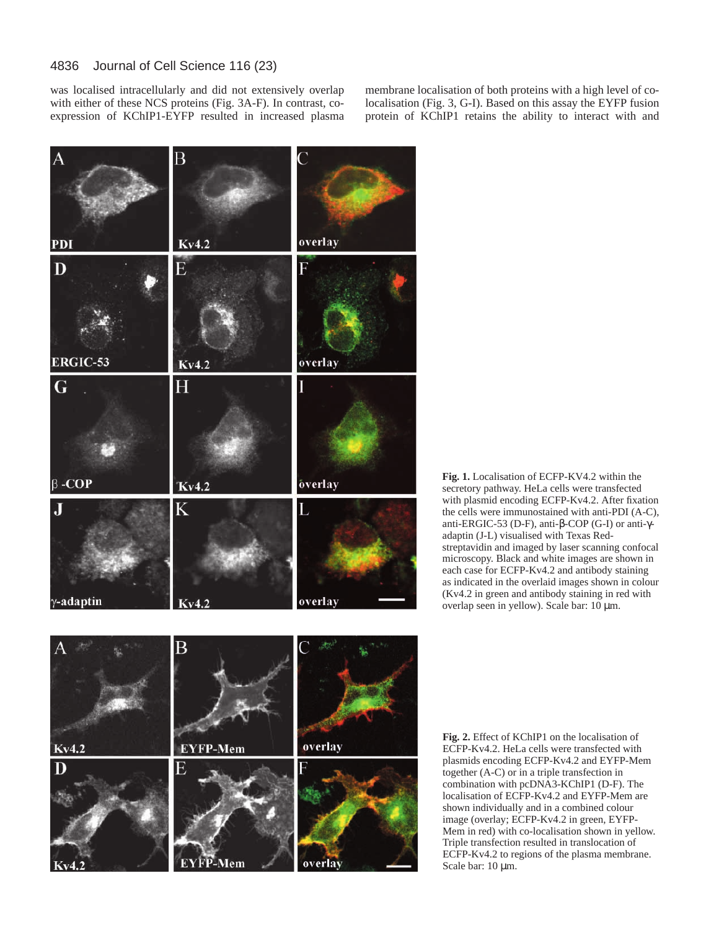#### 4836 Journal of Cell Science 116 (23)

was localised intracellularly and did not extensively overlap with either of these NCS proteins (Fig. 3A-F). In contrast, coexpression of KChIP1-EYFP resulted in increased plasma

membrane localisation of both proteins with a high level of colocalisation (Fig. 3, G-I). Based on this assay the EYFP fusion protein of KChIP1 retains the ability to interact with and



**Fig. 1.** Localisation of ECFP-KV4.2 within the secretory pathway. HeLa cells were transfected with plasmid encoding ECFP-Kv4.2. After fixation the cells were immunostained with anti-PDI (A-C), anti-ERGIC-53 (D-F), anti-β-COP (G-I) or anti-γadaptin (J-L) visualised with Texas Redstreptavidin and imaged by laser scanning confocal microscopy. Black and white images are shown in each case for ECFP-Kv4.2 and antibody staining as indicated in the overlaid images shown in colour (Kv4.2 in green and antibody staining in red with overlap seen in yellow). Scale bar: 10 µm.



**Fig. 2.** Effect of KChIP1 on the localisation of ECFP-Kv4.2. HeLa cells were transfected with plasmids encoding ECFP-Kv4.2 and EYFP-Mem together (A-C) or in a triple transfection in combination with pcDNA3-KChIP1 (D-F). The localisation of ECFP-Kv4.2 and EYFP-Mem are shown individually and in a combined colour image (overlay; ECFP-Kv4.2 in green, EYFP-Mem in red) with co-localisation shown in yellow. Triple transfection resulted in translocation of ECFP-Kv4.2 to regions of the plasma membrane. Scale bar: 10  $\mu$ m.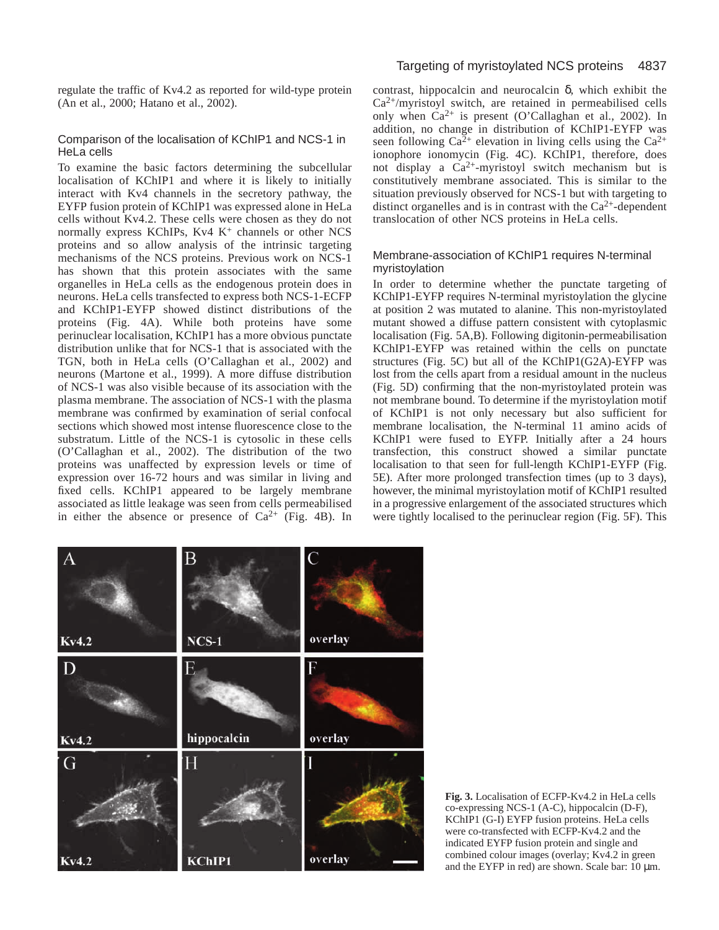regulate the traffic of Kv4.2 as reported for wild-type protein (An et al., 2000; Hatano et al., 2002).

# Comparison of the localisation of KChIP1 and NCS-1 in HeLa cells

To examine the basic factors determining the subcellular localisation of KChIP1 and where it is likely to initially interact with Kv4 channels in the secretory pathway, the EYFP fusion protein of KChIP1 was expressed alone in HeLa cells without Kv4.2. These cells were chosen as they do not normally express KChIPs,  $Kv4K^+$  channels or other NCS proteins and so allow analysis of the intrinsic targeting mechanisms of the NCS proteins. Previous work on NCS-1 has shown that this protein associates with the same organelles in HeLa cells as the endogenous protein does in neurons. HeLa cells transfected to express both NCS-1-ECFP and KChIP1-EYFP showed distinct distributions of the proteins (Fig. 4A). While both proteins have some perinuclear localisation, KChIP1 has a more obvious punctate distribution unlike that for NCS-1 that is associated with the TGN, both in HeLa cells (O'Callaghan et al., 2002) and neurons (Martone et al., 1999). A more diffuse distribution of NCS-1 was also visible because of its association with the plasma membrane. The association of NCS-1 with the plasma membrane was confirmed by examination of serial confocal sections which showed most intense fluorescence close to the substratum. Little of the NCS-1 is cytosolic in these cells (O'Callaghan et al., 2002). The distribution of the two proteins was unaffected by expression levels or time of expression over 16-72 hours and was similar in living and fixed cells. KChIP1 appeared to be largely membrane associated as little leakage was seen from cells permeabilised in either the absence or presence of  $Ca^{2+}$  (Fig. 4B). In

# Targeting of myristoylated NCS proteins 4837

contrast, hippocalcin and neurocalcin  $\delta$ , which exhibit the  $Ca<sup>2+</sup>/myristoyl switch, are retained in permeabilised cells$ only when  $Ca^{2+}$  is present (O'Callaghan et al., 2002). In addition, no change in distribution of KChIP1-EYFP was seen following  $Ca^{2+}$  elevation in living cells using the  $Ca^{2+}$ ionophore ionomycin (Fig. 4C). KChIP1, therefore, does not display a Ca2+-myristoyl switch mechanism but is constitutively membrane associated. This is similar to the situation previously observed for NCS-1 but with targeting to distinct organelles and is in contrast with the  $Ca^{2+}$ -dependent translocation of other NCS proteins in HeLa cells.

# Membrane-association of KChIP1 requires N-terminal myristoylation

In order to determine whether the punctate targeting of KChIP1-EYFP requires N-terminal myristoylation the glycine at position 2 was mutated to alanine. This non-myristoylated mutant showed a diffuse pattern consistent with cytoplasmic localisation (Fig. 5A,B). Following digitonin-permeabilisation KChIP1-EYFP was retained within the cells on punctate structures (Fig. 5C) but all of the KChIP1(G2A)-EYFP was lost from the cells apart from a residual amount in the nucleus (Fig. 5D) confirming that the non-myristoylated protein was not membrane bound. To determine if the myristoylation motif of KChIP1 is not only necessary but also sufficient for membrane localisation, the N-terminal 11 amino acids of KChIP1 were fused to EYFP. Initially after a 24 hours transfection, this construct showed a similar punctate localisation to that seen for full-length KChIP1-EYFP (Fig. 5E). After more prolonged transfection times (up to 3 days), however, the minimal myristoylation motif of KChIP1 resulted in a progressive enlargement of the associated structures which were tightly localised to the perinuclear region (Fig. 5F). This



**Fig. 3.** Localisation of ECFP-Kv4.2 in HeLa cells co-expressing NCS-1 (A-C), hippocalcin (D-F), KChIP1 (G-I) EYFP fusion proteins. HeLa cells were co-transfected with ECFP-Kv4.2 and the indicated EYFP fusion protein and single and combined colour images (overlay; Kv4.2 in green and the EYFP in red) are shown. Scale bar:  $10 \mu m$ .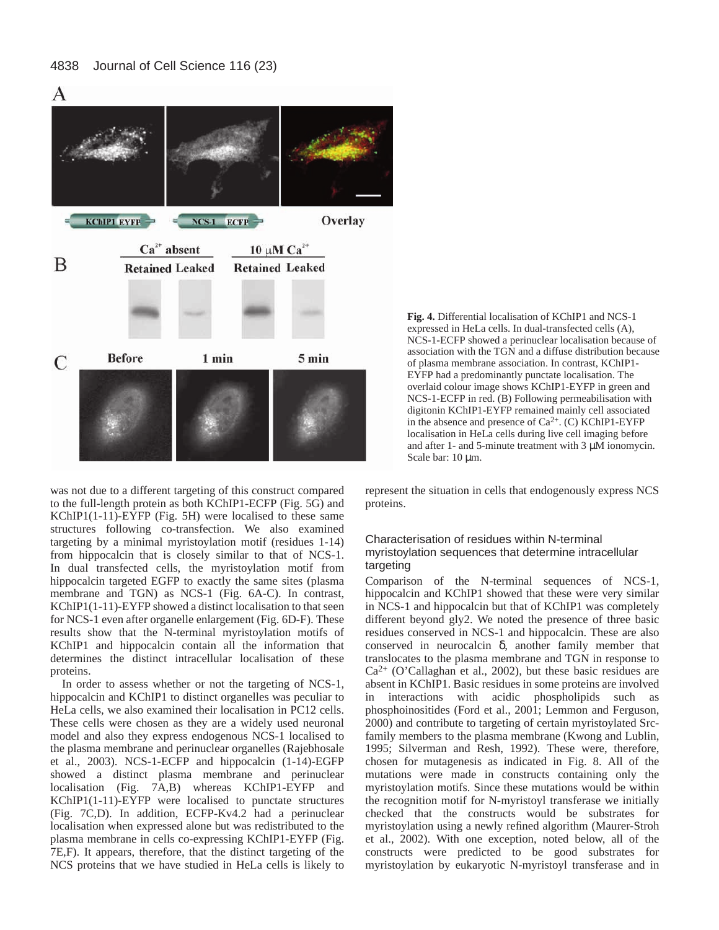

was not due to a different targeting of this construct compared to the full-length protein as both KChIP1-ECFP (Fig. 5G) and KChIP1(1-11)-EYFP (Fig. 5H) were localised to these same structures following co-transfection. We also examined targeting by a minimal myristoylation motif (residues 1-14) from hippocalcin that is closely similar to that of NCS-1. In dual transfected cells, the myristoylation motif from hippocalcin targeted EGFP to exactly the same sites (plasma membrane and TGN) as NCS-1 (Fig. 6A-C). In contrast, KChIP1(1-11)-EYFP showed a distinct localisation to that seen for NCS-1 even after organelle enlargement (Fig. 6D-F). These results show that the N-terminal myristoylation motifs of KChIP1 and hippocalcin contain all the information that determines the distinct intracellular localisation of these proteins.

In order to assess whether or not the targeting of NCS-1, hippocalcin and KChIP1 to distinct organelles was peculiar to HeLa cells, we also examined their localisation in PC12 cells. These cells were chosen as they are a widely used neuronal model and also they express endogenous NCS-1 localised to the plasma membrane and perinuclear organelles (Rajebhosale et al., 2003). NCS-1-ECFP and hippocalcin (1-14)-EGFP showed a distinct plasma membrane and perinuclear localisation (Fig. 7A,B) whereas KChIP1-EYFP and KChIP1(1-11)-EYFP were localised to punctate structures (Fig. 7C,D). In addition, ECFP-Kv4.2 had a perinuclear localisation when expressed alone but was redistributed to the plasma membrane in cells co-expressing KChIP1-EYFP (Fig. 7E,F). It appears, therefore, that the distinct targeting of the NCS proteins that we have studied in HeLa cells is likely to **Fig. 4.** Differential localisation of KChIP1 and NCS-1 expressed in HeLa cells. In dual-transfected cells (A), NCS-1-ECFP showed a perinuclear localisation because of association with the TGN and a diffuse distribution because of plasma membrane association. In contrast, KChIP1- EYFP had a predominantly punctate localisation. The overlaid colour image shows KChIP1-EYFP in green and NCS-1-ECFP in red. (B) Following permeabilisation with digitonin KChIP1-EYFP remained mainly cell associated in the absence and presence of  $Ca^{2+}$ . (C) KChIP1-EYFP localisation in HeLa cells during live cell imaging before and after 1- and 5-minute treatment with 3 µM ionomycin. Scale bar: 10  $\mu$ m.

represent the situation in cells that endogenously express NCS proteins.

# Characterisation of residues within N-terminal myristoylation sequences that determine intracellular targeting

Comparison of the N-terminal sequences of NCS-1, hippocalcin and KChIP1 showed that these were very similar in NCS-1 and hippocalcin but that of KChIP1 was completely different beyond gly2. We noted the presence of three basic residues conserved in NCS-1 and hippocalcin. These are also conserved in neurocalcin δ, another family member that translocates to the plasma membrane and TGN in response to  $Ca<sup>2+</sup>$  (O'Callaghan et al., 2002), but these basic residues are absent in KChIP1. Basic residues in some proteins are involved in interactions with acidic phospholipids such as phosphoinositides (Ford et al., 2001; Lemmon and Ferguson, 2000) and contribute to targeting of certain myristoylated Srcfamily members to the plasma membrane (Kwong and Lublin, 1995; Silverman and Resh, 1992). These were, therefore, chosen for mutagenesis as indicated in Fig. 8. All of the mutations were made in constructs containing only the myristoylation motifs. Since these mutations would be within the recognition motif for N-myristoyl transferase we initially checked that the constructs would be substrates for myristoylation using a newly refined algorithm (Maurer-Stroh et al., 2002). With one exception, noted below, all of the constructs were predicted to be good substrates for myristoylation by eukaryotic N-myristoyl transferase and in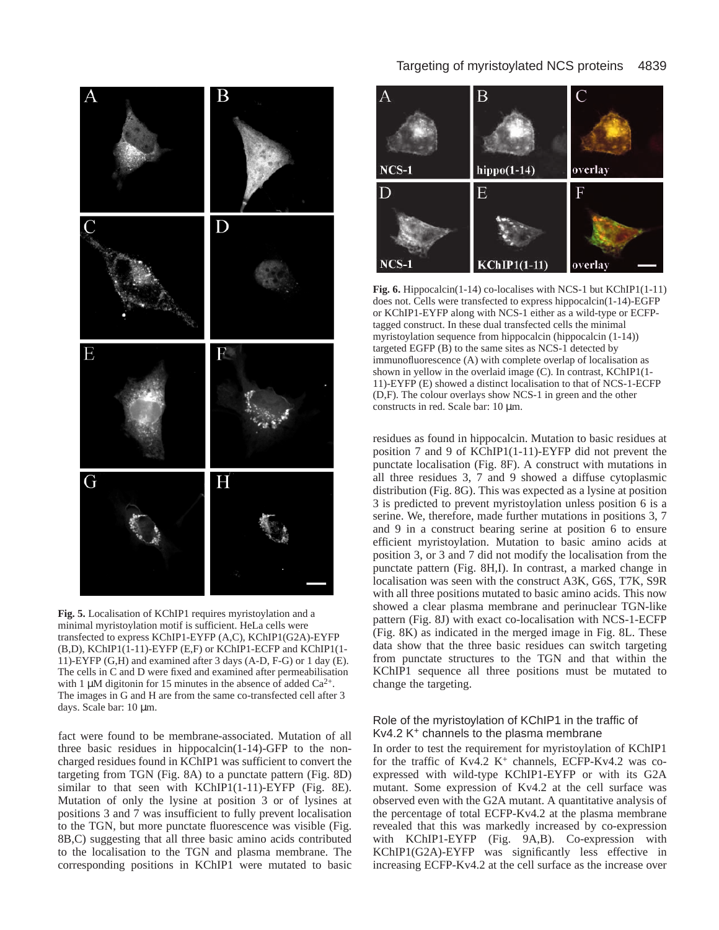

**Fig. 5.** Localisation of KChIP1 requires myristoylation and a minimal myristoylation motif is sufficient. HeLa cells were transfected to express KChIP1-EYFP (A,C), KChIP1(G2A)-EYFP (B,D), KChIP1(1-11)-EYFP (E,F) or KChIP1-ECFP and KChIP1(1- 11)-EYFP (G,H) and examined after 3 days (A-D, F-G) or 1 day (E). The cells in C and D were fixed and examined after permeabilisation with 1  $\mu$ M digitonin for 15 minutes in the absence of added Ca<sup>2+</sup>. The images in G and H are from the same co-transfected cell after 3 days. Scale bar: 10  $\mu$ m.

fact were found to be membrane-associated. Mutation of all three basic residues in hippocalcin(1-14)-GFP to the noncharged residues found in KChIP1 was sufficient to convert the targeting from TGN (Fig. 8A) to a punctate pattern (Fig. 8D) similar to that seen with KChIP1(1-11)-EYFP (Fig. 8E). Mutation of only the lysine at position 3 or of lysines at positions 3 and 7 was insufficient to fully prevent localisation to the TGN, but more punctate fluorescence was visible (Fig. 8B,C) suggesting that all three basic amino acids contributed to the localisation to the TGN and plasma membrane. The corresponding positions in KChIP1 were mutated to basic



**Fig. 6.** Hippocalcin(1-14) co-localises with NCS-1 but KChIP1(1-11) does not. Cells were transfected to express hippocalcin(1-14)-EGFP or KChIP1-EYFP along with NCS-1 either as a wild-type or ECFPtagged construct. In these dual transfected cells the minimal myristoylation sequence from hippocalcin (hippocalcin (1-14)) targeted EGFP (B) to the same sites as NCS-1 detected by immunofluorescence (A) with complete overlap of localisation as shown in yellow in the overlaid image (C). In contrast, KChIP1(1- 11)-EYFP (E) showed a distinct localisation to that of NCS-1-ECFP (D,F). The colour overlays show NCS-1 in green and the other constructs in red. Scale bar: 10 µm.

residues as found in hippocalcin. Mutation to basic residues at position 7 and 9 of KChIP1(1-11)-EYFP did not prevent the punctate localisation (Fig. 8F). A construct with mutations in all three residues 3, 7 and 9 showed a diffuse cytoplasmic distribution (Fig. 8G). This was expected as a lysine at position 3 is predicted to prevent myristoylation unless position 6 is a serine. We, therefore, made further mutations in positions 3, 7 and 9 in a construct bearing serine at position 6 to ensure efficient myristoylation. Mutation to basic amino acids at position 3, or 3 and 7 did not modify the localisation from the punctate pattern (Fig. 8H,I). In contrast, a marked change in localisation was seen with the construct A3K, G6S, T7K, S9R with all three positions mutated to basic amino acids. This now showed a clear plasma membrane and perinuclear TGN-like pattern (Fig. 8J) with exact co-localisation with NCS-1-ECFP (Fig. 8K) as indicated in the merged image in Fig. 8L. These data show that the three basic residues can switch targeting from punctate structures to the TGN and that within the KChIP1 sequence all three positions must be mutated to change the targeting.

# Role of the myristoylation of KChIP1 in the traffic of Kv4.2 K+ channels to the plasma membrane

In order to test the requirement for myristoylation of KChIP1 for the traffic of Kv4.2  $K^+$  channels, ECFP-Kv4.2 was coexpressed with wild-type KChIP1-EYFP or with its G2A mutant. Some expression of Kv4.2 at the cell surface was observed even with the G2A mutant. A quantitative analysis of the percentage of total ECFP-Kv4.2 at the plasma membrane revealed that this was markedly increased by co-expression with KChIP1-EYFP (Fig. 9A,B). Co-expression with KChIP1(G2A)-EYFP was significantly less effective in increasing ECFP-Kv4.2 at the cell surface as the increase over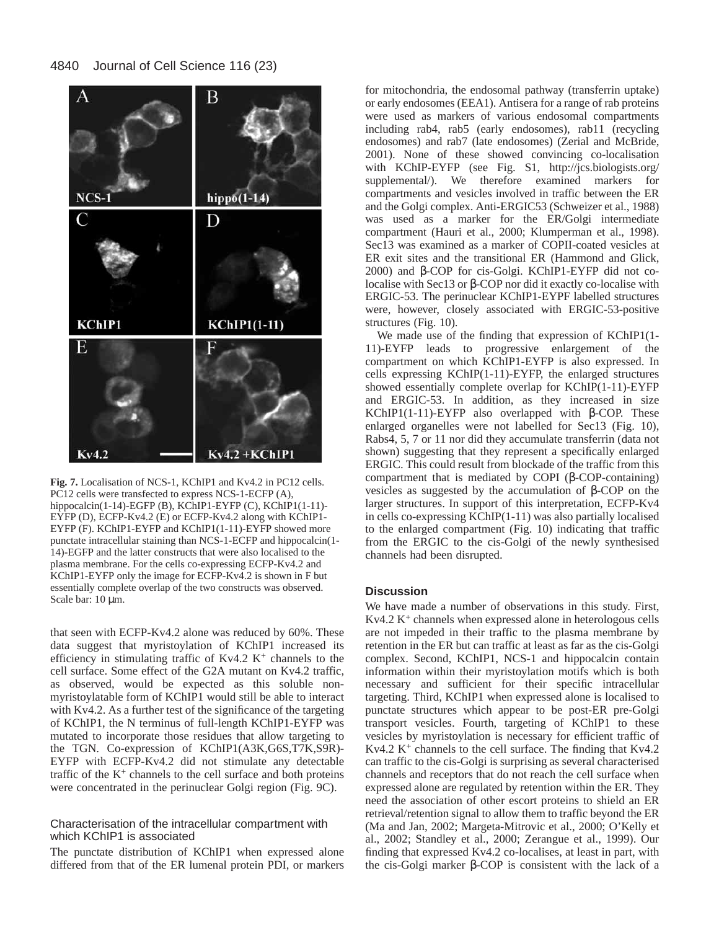

**Fig. 7.** Localisation of NCS-1, KChIP1 and Kv4.2 in PC12 cells. PC12 cells were transfected to express NCS-1-ECFP (A), hippocalcin(1-14)-EGFP (B), KChIP1-EYFP (C), KChIP1(1-11)-EYFP (D), ECFP-Kv4.2 (E) or ECFP-Kv4.2 along with KChIP1- EYFP (F). KChIP1-EYFP and KChIP1(1-11)-EYFP showed more punctate intracellular staining than NCS-1-ECFP and hippocalcin(1- 14)-EGFP and the latter constructs that were also localised to the plasma membrane. For the cells co-expressing ECFP-Kv4.2 and KChIP1-EYFP only the image for ECFP-Kv4.2 is shown in F but essentially complete overlap of the two constructs was observed. Scale bar: 10 µm.

that seen with ECFP-Kv4.2 alone was reduced by 60%. These data suggest that myristoylation of KChIP1 increased its efficiency in stimulating traffic of  $Kv4.2 K<sup>+</sup>$  channels to the cell surface. Some effect of the G2A mutant on Kv4.2 traffic, as observed, would be expected as this soluble nonmyristoylatable form of KChIP1 would still be able to interact with Kv4.2. As a further test of the significance of the targeting of KChIP1, the N terminus of full-length KChIP1-EYFP was mutated to incorporate those residues that allow targeting to the TGN. Co-expression of KChIP1(A3K,G6S,T7K,S9R)- EYFP with ECFP-Kv4.2 did not stimulate any detectable traffic of the  $K^+$  channels to the cell surface and both proteins were concentrated in the perinuclear Golgi region (Fig. 9C).

Characterisation of the intracellular compartment with which KChIP1 is associated

The punctate distribution of KChIP1 when expressed alone differed from that of the ER lumenal protein PDI, or markers

for mitochondria, the endosomal pathway (transferrin uptake) or early endosomes (EEA1). Antisera for a range of rab proteins were used as markers of various endosomal compartments including rab4, rab5 (early endosomes), rab11 (recycling endosomes) and rab7 (late endosomes) (Zerial and McBride, 2001). None of these showed convincing co-localisation with KChIP-EYFP (see Fig. S1, http://jcs.biologists.org/ supplemental/). We therefore examined markers for compartments and vesicles involved in traffic between the ER and the Golgi complex. Anti-ERGIC53 (Schweizer et al., 1988) was used as a marker for the ER/Golgi intermediate compartment (Hauri et al., 2000; Klumperman et al., 1998). Sec13 was examined as a marker of COPII-coated vesicles at ER exit sites and the transitional ER (Hammond and Glick, 2000) and β-COP for cis-Golgi. KChIP1-EYFP did not colocalise with Sec13 or β-COP nor did it exactly co-localise with ERGIC-53. The perinuclear KChIP1-EYPF labelled structures were, however, closely associated with ERGIC-53-positive structures (Fig. 10).

We made use of the finding that expression of KChIP1(1- 11)-EYFP leads to progressive enlargement of the compartment on which KChIP1-EYFP is also expressed. In cells expressing KChIP(1-11)-EYFP, the enlarged structures showed essentially complete overlap for KChIP(1-11)-EYFP and ERGIC-53. In addition, as they increased in size KChIP1(1-11)-EYFP also overlapped with β-COP. These enlarged organelles were not labelled for Sec13 (Fig. 10), Rabs4, 5, 7 or 11 nor did they accumulate transferrin (data not shown) suggesting that they represent a specifically enlarged ERGIC. This could result from blockade of the traffic from this compartment that is mediated by COPI (β-COP-containing) vesicles as suggested by the accumulation of β-COP on the larger structures. In support of this interpretation, ECFP-Kv4 in cells co-expressing KChIP(1-11) was also partially localised to the enlarged compartment (Fig. 10) indicating that traffic from the ERGIC to the cis-Golgi of the newly synthesised channels had been disrupted.

# **Discussion**

We have made a number of observations in this study. First,  $Kv4.2 K<sup>+</sup> channels when expressed alone in heterologous cells$ are not impeded in their traffic to the plasma membrane by retention in the ER but can traffic at least as far as the cis-Golgi complex. Second, KChIP1, NCS-1 and hippocalcin contain information within their myristoylation motifs which is both necessary and sufficient for their specific intracellular targeting. Third, KChIP1 when expressed alone is localised to punctate structures which appear to be post-ER pre-Golgi transport vesicles. Fourth, targeting of KChIP1 to these vesicles by myristoylation is necessary for efficient traffic of Kv4.2  $K^+$  channels to the cell surface. The finding that Kv4.2 can traffic to the cis-Golgi is surprising as several characterised channels and receptors that do not reach the cell surface when expressed alone are regulated by retention within the ER. They need the association of other escort proteins to shield an ER retrieval/retention signal to allow them to traffic beyond the ER (Ma and Jan, 2002; Margeta-Mitrovic et al., 2000; O'Kelly et al., 2002; Standley et al., 2000; Zerangue et al., 1999). Our finding that expressed Kv4.2 co-localises, at least in part, with the cis-Golgi marker β-COP is consistent with the lack of a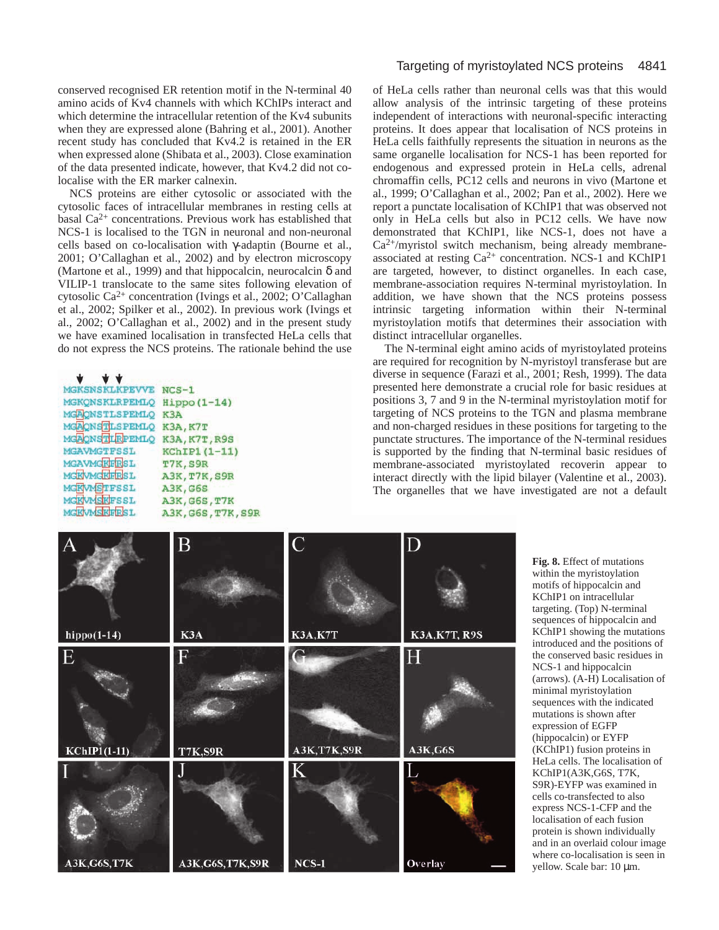conserved recognised ER retention motif in the N-terminal 40 amino acids of Kv4 channels with which KChIPs interact and which determine the intracellular retention of the Kv4 subunits when they are expressed alone (Bahring et al., 2001). Another recent study has concluded that Kv4.2 is retained in the ER when expressed alone (Shibata et al., 2003). Close examination of the data presented indicate, however, that Kv4.2 did not colocalise with the ER marker calnexin.

NCS proteins are either cytosolic or associated with the cytosolic faces of intracellular membranes in resting cells at basal  $Ca^{2+}$  concentrations. Previous work has established that NCS-1 is localised to the TGN in neuronal and non-neuronal cells based on co-localisation with γ-adaptin (Bourne et al., 2001; O'Callaghan et al., 2002) and by electron microscopy (Martone et al., 1999) and that hippocalcin, neurocalcin  $\delta$  and VILIP-1 translocate to the same sites following elevation of cytosolic Ca2+ concentration (Ivings et al., 2002; O'Callaghan et al., 2002; Spilker et al., 2002). In previous work (Ivings et al., 2002; O'Callaghan et al., 2002) and in the present study we have examined localisation in transfected HeLa cells that do not express the NCS proteins. The rationale behind the use

| MGKSNSKLKPEVVE NCS-1         |                 |
|------------------------------|-----------------|
| MGKQNSKLRPEMLQ Hippo(1-14)   |                 |
| MGAONSTLSPEMLO K3A           |                 |
| MGAQNSTLSPEMLQ K3A, K7T      |                 |
| MGAONSTIRPEMIO K3A, K7T, R9S |                 |
| MGAVMGTFSSL                  | KChIP1 (1-11)   |
| MGAVMGKFRSL                  | T7K, S9R        |
| MGKVMGKFRSL                  | A3K, T7K, S9R   |
| MGKVMSTFSSL                  | A3K, G6S        |
| MGKVMSKFSSL                  | A3K, G6S, T7K   |
| MGKVMSKFRSL                  | A3K.G6S.T7K.S9R |

# Targeting of myristoylated NCS proteins 4841

of HeLa cells rather than neuronal cells was that this would allow analysis of the intrinsic targeting of these proteins independent of interactions with neuronal-specific interacting proteins. It does appear that localisation of NCS proteins in HeLa cells faithfully represents the situation in neurons as the same organelle localisation for NCS-1 has been reported for endogenous and expressed protein in HeLa cells, adrenal chromaffin cells, PC12 cells and neurons in vivo (Martone et al., 1999; O'Callaghan et al., 2002; Pan et al., 2002). Here we report a punctate localisation of KChIP1 that was observed not only in HeLa cells but also in PC12 cells. We have now demonstrated that KChIP1, like NCS-1, does not have a  $Ca<sup>2+</sup>/myristol$  switch mechanism, being already membraneassociated at resting  $Ca^{2+}$  concentration. NCS-1 and KChIP1 are targeted, however, to distinct organelles. In each case, membrane-association requires N-terminal myristoylation. In addition, we have shown that the NCS proteins possess intrinsic targeting information within their N-terminal myristoylation motifs that determines their association with distinct intracellular organelles.

The N-terminal eight amino acids of myristoylated proteins are required for recognition by N-myristoyl transferase but are diverse in sequence (Farazi et al., 2001; Resh, 1999). The data presented here demonstrate a crucial role for basic residues at positions 3, 7 and 9 in the N-terminal myristoylation motif for targeting of NCS proteins to the TGN and plasma membrane and non-charged residues in these positions for targeting to the punctate structures. The importance of the N-terminal residues is supported by the finding that N-terminal basic residues of membrane-associated myristoylated recoverin appear to interact directly with the lipid bilayer (Valentine et al., 2003). The organelles that we have investigated are not a default



**Fig. 8.** Effect of mutations within the myristoylation motifs of hippocalcin and KChIP1 on intracellular targeting. (Top) N-terminal sequences of hippocalcin and KChIP1 showing the mutations introduced and the positions of the conserved basic residues in NCS-1 and hippocalcin (arrows). (A-H) Localisation of minimal myristoylation sequences with the indicated mutations is shown after expression of EGFP (hippocalcin) or EYFP (KChIP1) fusion proteins in HeLa cells. The localisation of KChIP1(A3K,G6S, T7K, S9R)-EYFP was examined in cells co-transfected to also express NCS-1-CFP and the localisation of each fusion protein is shown individually and in an overlaid colour image where co-localisation is seen in yellow. Scale bar: 10  $\mu$ m.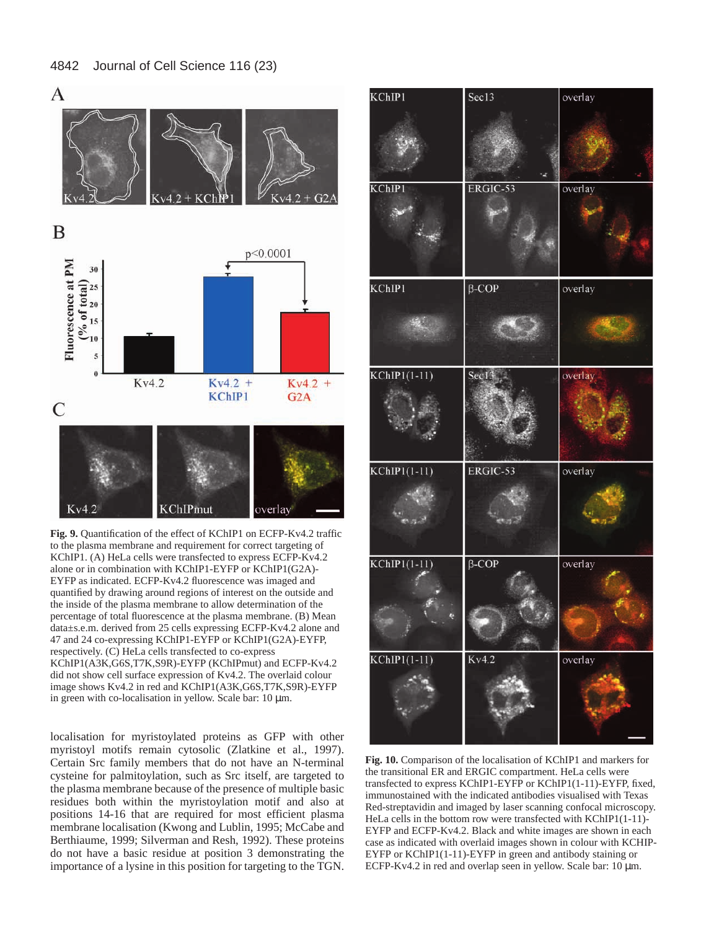#### 4842 Journal of Cell Science 116 (23)



**Fig. 9.** Quantification of the effect of KChIP1 on ECFP-Kv4.2 traffic to the plasma membrane and requirement for correct targeting of KChIP1. (A) HeLa cells were transfected to express ECFP-Kv4.2 alone or in combination with KChIP1-EYFP or KChIP1(G2A)- EYFP as indicated. ECFP-Kv4.2 fluorescence was imaged and quantified by drawing around regions of interest on the outside and the inside of the plasma membrane to allow determination of the percentage of total fluorescence at the plasma membrane. (B) Mean data±s.e.m. derived from 25 cells expressing ECFP-Kv4.2 alone and 47 and 24 co-expressing KChIP1-EYFP or KChIP1(G2A)-EYFP, respectively. (C) HeLa cells transfected to co-express KChIP1(A3K,G6S,T7K,S9R)-EYFP (KChIPmut) and ECFP-Kv4.2 did not show cell surface expression of Kv4.2. The overlaid colour image shows Kv4.2 in red and KChIP1(A3K,G6S,T7K,S9R)-EYFP in green with co-localisation in yellow. Scale bar:  $10 \mu m$ .

localisation for myristoylated proteins as GFP with other myristoyl motifs remain cytosolic (Zlatkine et al., 1997). Certain Src family members that do not have an N-terminal cysteine for palmitoylation, such as Src itself, are targeted to the plasma membrane because of the presence of multiple basic residues both within the myristoylation motif and also at positions 14-16 that are required for most efficient plasma membrane localisation (Kwong and Lublin, 1995; McCabe and Berthiaume, 1999; Silverman and Resh, 1992). These proteins do not have a basic residue at position 3 demonstrating the importance of a lysine in this position for targeting to the TGN.

| KChIP1         | Sec13        | overlay |
|----------------|--------------|---------|
|                |              |         |
| KChIP1         | ERGIC-53     | overlay |
| KChIP1         | $\beta$ -COP | overlay |
| $KChIP1(1-11)$ | Sec13        | overlay |
| $KChIP1(1-11)$ | ERGIC-53     | overlay |
| $KChIP1(1-11)$ | $\beta$ -COP | overlay |
| $KChIP1(1-11)$ | Kv4.2        | overlay |

**Fig. 10.** Comparison of the localisation of KChIP1 and markers for the transitional ER and ERGIC compartment. HeLa cells were transfected to express KChIP1-EYFP or KChIP1(1-11)-EYFP, fixed, immunostained with the indicated antibodies visualised with Texas Red-streptavidin and imaged by laser scanning confocal microscopy. HeLa cells in the bottom row were transfected with KChIP1(1-11)- EYFP and ECFP-Kv4.2. Black and white images are shown in each case as indicated with overlaid images shown in colour with KCHIP-EYFP or KChIP1(1-11)-EYFP in green and antibody staining or ECFP-Kv4.2 in red and overlap seen in yellow. Scale bar: 10 µm.

A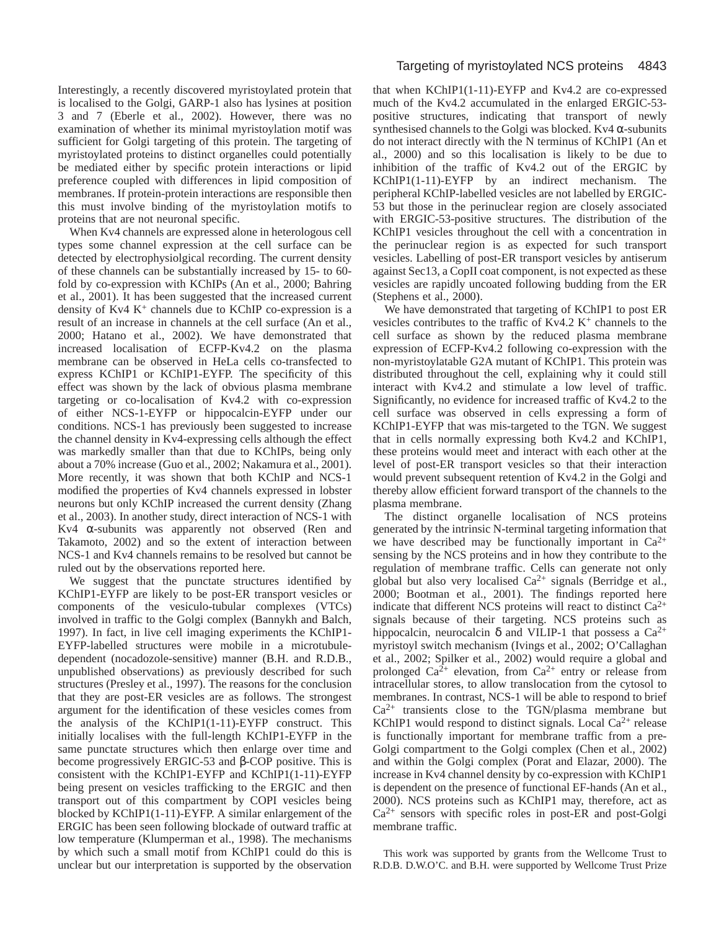Interestingly, a recently discovered myristoylated protein that is localised to the Golgi, GARP-1 also has lysines at position 3 and 7 (Eberle et al., 2002). However, there was no examination of whether its minimal myristoylation motif was sufficient for Golgi targeting of this protein. The targeting of myristoylated proteins to distinct organelles could potentially be mediated either by specific protein interactions or lipid preference coupled with differences in lipid composition of membranes. If protein-protein interactions are responsible then this must involve binding of the myristoylation motifs to proteins that are not neuronal specific.

When Kv4 channels are expressed alone in heterologous cell types some channel expression at the cell surface can be detected by electrophysiolgical recording. The current density of these channels can be substantially increased by 15- to 60 fold by co-expression with KChIPs (An et al., 2000; Bahring et al., 2001). It has been suggested that the increased current density of Kv4  $K^+$  channels due to KChIP co-expression is a result of an increase in channels at the cell surface (An et al., 2000; Hatano et al., 2002). We have demonstrated that increased localisation of ECFP-Kv4.2 on the plasma membrane can be observed in HeLa cells co-transfected to express KChIP1 or KChIP1-EYFP. The specificity of this effect was shown by the lack of obvious plasma membrane targeting or co-localisation of Kv4.2 with co-expression of either NCS-1-EYFP or hippocalcin-EYFP under our conditions. NCS-1 has previously been suggested to increase the channel density in Kv4-expressing cells although the effect was markedly smaller than that due to KChIPs, being only about a 70% increase (Guo et al., 2002; Nakamura et al., 2001). More recently, it was shown that both KChIP and NCS-1 modified the properties of Kv4 channels expressed in lobster neurons but only KChIP increased the current density (Zhang et al., 2003). In another study, direct interaction of NCS-1 with Kv4 α-subunits was apparently not observed (Ren and Takamoto, 2002) and so the extent of interaction between NCS-1 and Kv4 channels remains to be resolved but cannot be ruled out by the observations reported here.

We suggest that the punctate structures identified by KChIP1-EYFP are likely to be post-ER transport vesicles or components of the vesiculo-tubular complexes (VTCs) involved in traffic to the Golgi complex (Bannykh and Balch, 1997). In fact, in live cell imaging experiments the KChIP1- EYFP-labelled structures were mobile in a microtubuledependent (nocadozole-sensitive) manner (B.H. and R.D.B., unpublished observations) as previously described for such structures (Presley et al., 1997). The reasons for the conclusion that they are post-ER vesicles are as follows. The strongest argument for the identification of these vesicles comes from the analysis of the KChIP1(1-11)-EYFP construct. This initially localises with the full-length KChIP1-EYFP in the same punctate structures which then enlarge over time and become progressively ERGIC-53 and β-COP positive. This is consistent with the KChIP1-EYFP and KChIP1(1-11)-EYFP being present on vesicles trafficking to the ERGIC and then transport out of this compartment by COPI vesicles being blocked by KChIP1(1-11)-EYFP. A similar enlargement of the ERGIC has been seen following blockade of outward traffic at low temperature (Klumperman et al., 1998). The mechanisms by which such a small motif from KChIP1 could do this is unclear but our interpretation is supported by the observation

that when KChIP1(1-11)-EYFP and Kv4.2 are co-expressed much of the Kv4.2 accumulated in the enlarged ERGIC-53 positive structures, indicating that transport of newly synthesised channels to the Golgi was blocked. Kv4  $\alpha$ -subunits do not interact directly with the N terminus of KChIP1 (An et al., 2000) and so this localisation is likely to be due to inhibition of the traffic of Kv4.2 out of the ERGIC by KChIP1(1-11)-EYFP by an indirect mechanism. The peripheral KChIP-labelled vesicles are not labelled by ERGIC-53 but those in the perinuclear region are closely associated with ERGIC-53-positive structures. The distribution of the KChIP1 vesicles throughout the cell with a concentration in the perinuclear region is as expected for such transport vesicles. Labelling of post-ER transport vesicles by antiserum against Sec13, a CopII coat component, is not expected as these vesicles are rapidly uncoated following budding from the ER (Stephens et al., 2000).

We have demonstrated that targeting of KChIP1 to post ER vesicles contributes to the traffic of Kv4.2 K+ channels to the cell surface as shown by the reduced plasma membrane expression of ECFP-Kv4.2 following co-expression with the non-myristoylatable G2A mutant of KChIP1. This protein was distributed throughout the cell, explaining why it could still interact with Kv4.2 and stimulate a low level of traffic. Significantly, no evidence for increased traffic of Kv4.2 to the cell surface was observed in cells expressing a form of KChIP1-EYFP that was mis-targeted to the TGN. We suggest that in cells normally expressing both Kv4.2 and KChIP1, these proteins would meet and interact with each other at the level of post-ER transport vesicles so that their interaction would prevent subsequent retention of Kv4.2 in the Golgi and thereby allow efficient forward transport of the channels to the plasma membrane.

The distinct organelle localisation of NCS proteins generated by the intrinsic N-terminal targeting information that we have described may be functionally important in  $Ca^{2+}$ sensing by the NCS proteins and in how they contribute to the regulation of membrane traffic. Cells can generate not only global but also very localised  $Ca^{2+}$  signals (Berridge et al., 2000; Bootman et al., 2001). The findings reported here indicate that different NCS proteins will react to distinct  $Ca^{2+}$ signals because of their targeting. NCS proteins such as hippocalcin, neurocalcin  $\delta$  and VILIP-1 that possess a Ca<sup>2+</sup> myristoyl switch mechanism (Ivings et al., 2002; O'Callaghan et al., 2002; Spilker et al., 2002) would require a global and prolonged  $Ca^{2+}$  elevation, from  $Ca^{2+}$  entry or release from intracellular stores, to allow translocation from the cytosol to membranes. In contrast, NCS-1 will be able to respond to brief  $Ca<sup>2+</sup>$  transients close to the TGN/plasma membrane but KChIP1 would respond to distinct signals. Local  $Ca^{2+}$  release is functionally important for membrane traffic from a pre-Golgi compartment to the Golgi complex (Chen et al., 2002) and within the Golgi complex (Porat and Elazar, 2000). The increase in Kv4 channel density by co-expression with KChIP1 is dependent on the presence of functional EF-hands (An et al., 2000). NCS proteins such as KChIP1 may, therefore, act as  $Ca<sup>2+</sup>$  sensors with specific roles in post-ER and post-Golgi membrane traffic.

This work was supported by grants from the Wellcome Trust to R.D.B. D.W.O'C. and B.H. were supported by Wellcome Trust Prize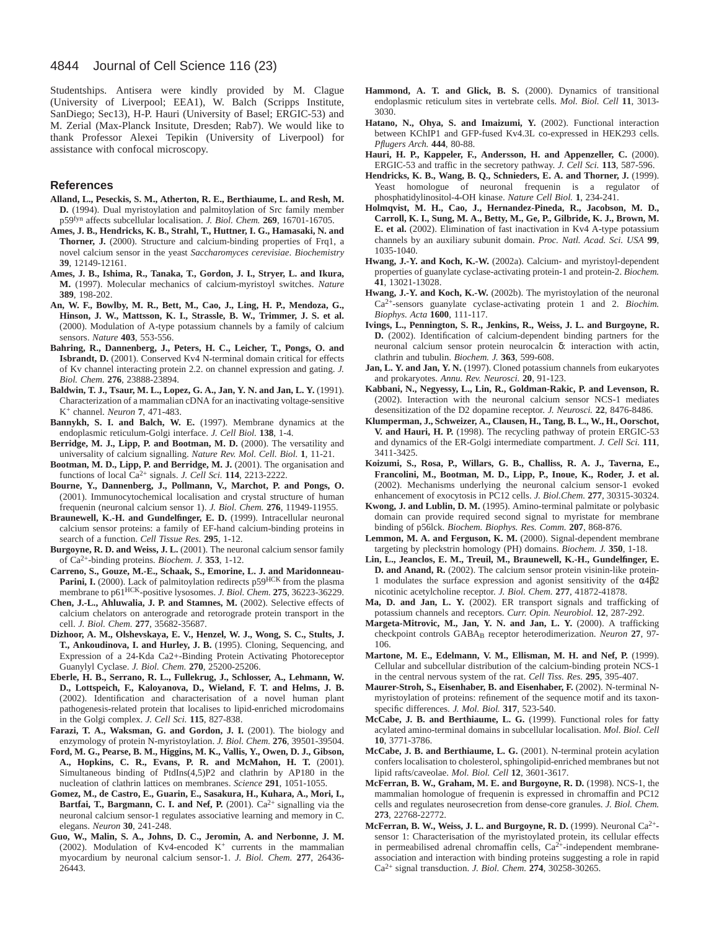4844 Journal of Cell Science 116 (23)

Studentships. Antisera were kindly provided by M. Clague (University of Liverpool; EEA1), W. Balch (Scripps Institute, SanDiego; Sec13), H-P. Hauri (University of Basel; ERGIC-53) and M. Zerial (Max-Planck Insitute, Dresden; Rab7). We would like to thank Professor Alexei Tepikin (University of Liverpool) for assistance with confocal microscopy.

# **References**

- **Alland, L., Peseckis, S. M., Atherton, R. E., Berthiaume, L. and Resh, M. D.** (1994). Dual myristoylation and palmitoylation of Src family member p59fyn affects subcellular localisation. *J. Biol. Chem.* **269**, 16701-16705.
- **Ames, J. B., Hendricks, K. B., Strahl, T., Huttner, I. G., Hamasaki, N. and Thorner, J.** (2000). Structure and calcium-binding properties of Frq1, a novel calcium sensor in the yeast *Saccharomyces cerevisiae*. *Biochemistry* **39**, 12149-12161.
- **Ames, J. B., Ishima, R., Tanaka, T., Gordon, J. I., Stryer, L. and Ikura, M.** (1997). Molecular mechanics of calcium-myristoyl switches. *Nature* **389**, 198-202.
- **An, W. F., Bowlby, M. R., Bett, M., Cao, J., Ling, H. P., Mendoza, G., Hinson, J. W., Mattsson, K. I., Strassle, B. W., Trimmer, J. S. et al.** (2000). Modulation of A-type potassium channels by a family of calcium sensors. *Nature* **403**, 553-556.
- **Bahring, R., Dannenberg, J., Peters, H. C., Leicher, T., Pongs, O. and Isbrandt, D.** (2001). Conserved Kv4 N-terminal domain critical for effects of Kv channel interacting protein 2.2. on channel expression and gating. *J. Biol. Chem.* **276**, 23888-23894.
- **Baldwin, T. J., Tsaur, M. L., Lopez, G. A., Jan, Y. N. and Jan, L. Y.** (1991). Characterization of a mammalian cDNA for an inactivating voltage-sensitive K+ channel. *Neuron* **7**, 471-483.
- **Bannykh, S. I. and Balch, W. E.** (1997). Membrane dynamics at the endoplasmic reticulum-Golgi interface. *J. Cell Biol.* **138**, 1-4.
- **Berridge, M. J., Lipp, P. and Bootman, M. D.** (2000). The versatility and universality of calcium signalling. *Nature Rev. Mol. Cell. Biol.* **1**, 11-21.
- **Bootman, M. D., Lipp, P. and Berridge, M. J.** (2001). The organisation and functions of local Ca2+ signals. *J. Cell Sci.* **114**, 2213-2222.
- **Bourne, Y., Dannenberg, J., Pollmann, V., Marchot, P. and Pongs, O.** (2001). Immunocytochemical localisation and crystal structure of human frequenin (neuronal calcium sensor 1). *J. Biol. Chem.* **276**, 11949-11955.
- **Braunewell, K.-H. and Gundelfinger, E. D.** (1999). Intracellular neuronal calcium sensor proteins: a family of EF-hand calcium-binding proteins in search of a function. *Cell Tissue Res.* **295**, 1-12.
- **Burgoyne, R. D. and Weiss, J. L.** (2001). The neuronal calcium sensor family of Ca2+-binding proteins. *Biochem. J.* **353**, 1-12.
- **Carreno, S., Gouze, M.-E., Schaak, S., Emorine, L. J. and Maridonneau-**Parini, I. (2000). Lack of palmitoylation redirects p59<sup>HCK</sup> from the plasma membrane to p61HCK-positive lysosomes. *J. Biol. Chem.* **275**, 36223-36229.
- **Chen, J.-L., Ahluwalia, J. P. and Stamnes, M.** (2002). Selective effects of calcium chelators on anterograde and retorograde protein transport in the cell. *J. Biol. Chem.* **277**, 35682-35687.
- **Dizhoor, A. M., Olshevskaya, E. V., Henzel, W. J., Wong, S. C., Stults, J. T., Ankoudinova, I. and Hurley, J. B.** (1995). Cloning, Sequencing, and Expression of a 24-Kda Ca2+-Binding Protein Activating Photoreceptor Guanylyl Cyclase. *J. Biol. Chem.* **270**, 25200-25206.
- **Eberle, H. B., Serrano, R. L., Fullekrug, J., Schlosser, A., Lehmann, W. D., Lottspeich, F., Kaloyanova, D., Wieland, F. T. and Helms, J. B.** (2002). Identification and characterisation of a novel human plant pathogenesis-related protein that localises to lipid-enriched microdomains in the Golgi complex. *J. Cell Sci.* **115**, 827-838.
- **Farazi, T. A., Waksman, G. and Gordon, J. I.** (2001). The biology and enzymology of protein N-myristoylation. *J. Biol. Chem.* **276**, 39501-39504.
- **Ford, M. G., Pearse, B. M., Higgins, M. K., Vallis, Y., Owen, D. J., Gibson, A., Hopkins, C. R., Evans, P. R. and McMahon, H. T.** (2001). Simultaneous binding of PtdIns(4,5)P2 and clathrin by AP180 in the nucleation of clathrin lattices on membranes. *Science* **291**, 1051-1055.
- **Gomez, M., de Castro, E., Guarin, E., Sasakura, H., Kuhara, A., Mori, I., Bartfai, T., Bargmann, C. I. and Nef, P.** (2001).  $Ca^{2+}$  signalling via the neuronal calcium sensor-1 regulates associative learning and memory in C. elegans. *Neuron* **30**, 241-248.
- **Guo, W., Malin, S. A., Johns, D. C., Jeromin, A. and Nerbonne, J. M.** (2002). Modulation of Kv4-encoded  $K^+$  currents in the mammalian myocardium by neuronal calcium sensor-1. *J. Biol. Chem.* **277**, 26436- 26443.
- **Hammond, A. T. and Glick, B. S.** (2000). Dynamics of transitional endoplasmic reticulum sites in vertebrate cells. *Mol. Biol. Cell* **11**, 3013- 3030.
- **Hatano, N., Ohya, S. and Imaizumi, Y.** (2002). Functional interaction between KChIP1 and GFP-fused Kv4.3L co-expressed in HEK293 cells. *Pflugers Arch.* **444**, 80-88.
- **Hauri, H. P., Kappeler, F., Andersson, H. and Appenzeller, C.** (2000). ERGIC-53 and traffic in the secretory pathway. *J. Cell Sci.* **113**, 587-596.
- **Hendricks, K. B., Wang, B. Q., Schnieders, E. A. and Thorner, J.** (1999). Yeast homologue of neuronal frequenin is a regulator of phosphatidylinositol-4-OH kinase. *Nature Cell Biol.* **1**, 234-241.
- **Holmqvist, M. H., Cao, J., Hernandez-Pineda, R., Jacobson, M. D., Carroll, K. I., Sung, M. A., Betty, M., Ge, P., Gilbride, K. J., Brown, M. E. et al.** (2002). Elimination of fast inactivation in Kv4 A-type potassium channels by an auxiliary subunit domain. *Proc. Natl. Acad. Sci. USA* **99**, 1035-1040.
- **Hwang, J.-Y. and Koch, K.-W.** (2002a). Calcium- and myristoyl-dependent properties of guanylate cyclase-activating protein-1 and protein-2. *Biochem.* **41**, 13021-13028.
- **Hwang, J.-Y. and Koch, K.-W.** (2002b). The myristoylation of the neuronal Ca2+-sensors guanylate cyclase-activating protein 1 and 2. *Biochim. Biophys. Acta* **1600**, 111-117.
- **Ivings, L., Pennington, S. R., Jenkins, R., Weiss, J. L. and Burgoyne, R. D.** (2002). Identification of calcium-dependent binding partners for the neuronal calcium sensor protein neurocalcin δ: interaction with actin, clathrin and tubulin. *Biochem. J.* **363**, 599-608.
- **Jan, L. Y. and Jan, Y. N.** (1997). Cloned potassium channels from eukaryotes and prokaryotes. *Annu. Rev. Neurosci.* **20**, 91-123.
- **Kabbani, N., Negyessy, L., Lin, R., Goldman-Rakic, P. and Levenson, R.** (2002). Interaction with the neuronal calcium sensor NCS-1 mediates desensitization of the D2 dopamine receptor. *J. Neurosci.* **22**, 8476-8486.
- **Klumperman, J., Schweizer, A., Clausen, H., Tang, B. L., W., H., Oorschot, V. and Hauri, H. P.** (1998). The recycling pathway of protein ERGIC-53 and dynamics of the ER-Golgi intermediate compartment. *J. Cell Sci.* **111**, 3411-3425.
- **Koizumi, S., Rosa, P., Willars, G. B., Challiss, R. A. J., Taverna, E., Francolini, M., Bootman, M. D., Lipp, P., Inoue, K., Roder, J. et al.** (2002). Mechanisms underlying the neuronal calcium sensor-1 evoked enhancement of exocytosis in PC12 cells. *J. Biol.Chem.* **277**, 30315-30324.
- **Kwong, J. and Lublin, D. M.** (1995). Amino-terminal palmitate or polybasic domain can provide required second signal to myristate for membrane binding of p56lck. *Biochem. Biophys. Res. Comm.* **207**, 868-876.
- **Lemmon, M. A. and Ferguson, K. M.** (2000). Signal-dependent membrane targeting by pleckstrin homology (PH) domains. *Biochem. J.* **350**, 1-18.
- **Lin, L., Jeanclos, E. M., Treuil, M., Braunewell, K.-H., Gundelfinger, E. D. and Anand, R.** (2002). The calcium sensor protein visinin-like protein-1 modulates the surface expression and agonist sensitivity of the  $\alpha$ 4 $\beta$ 2 nicotinic acetylcholine receptor. *J. Biol. Chem.* **277**, 41872-41878.
- **Ma, D. and Jan, L. Y.** (2002). ER transport signals and trafficking of potassium channels and receptors. *Curr. Opin. Neurobiol.* **12**, 287-292.
- **Margeta-Mitrovic, M., Jan, Y. N. and Jan, L. Y.** (2000). A trafficking checkpoint controls GABAB receptor heterodimerization. *Neuron* **27**, 97- 106.
- **Martone, M. E., Edelmann, V. M., Ellisman, M. H. and Nef, P.** (1999). Cellular and subcellular distribution of the calcium-binding protein NCS-1 in the central nervous system of the rat. *Cell Tiss. Res.* **295**, 395-407.
- **Maurer-Stroh, S., Eisenhaber, B. and Eisenhaber, F.** (2002). N-terminal Nmyristoylation of proteins: refinement of the sequence motif and its taxonspecific differences. *J. Mol. Biol.* **317**, 523-540.
- **McCabe, J. B. and Berthiaume, L. G.** (1999). Functional roles for fatty acylated amino-terminal domains in subcellular localisation. *Mol. Biol. Cell* **10**, 3771-3786.
- **McCabe, J. B. and Berthiaume, L. G.** (2001). N-terminal protein acylation confers localisation to cholesterol, sphingolipid-enriched membranes but not lipid rafts/caveolae. *Mol. Biol. Cell* **12**, 3601-3617.
- **McFerran, B. W., Graham, M. E. and Burgoyne, R. D.** (1998). NCS-1, the mammalian homologue of frequenin is expressed in chromaffin and PC12 cells and regulates neurosecretion from dense-core granules. *J. Biol. Chem.* **273**, 22768-22772.
- **McFerran, B. W., Weiss, J. L. and Burgoyne, R. D.** (1999). Neuronal Ca<sup>2+</sup>sensor 1: Characterisation of the myristoylated protein, its cellular effects in permeabilised adrenal chromaffin cells, Ca<sup>2+</sup>-independent membraneassociation and interaction with binding proteins suggesting a role in rapid Ca2+ signal transduction. *J. Biol. Chem.* **274**, 30258-30265.